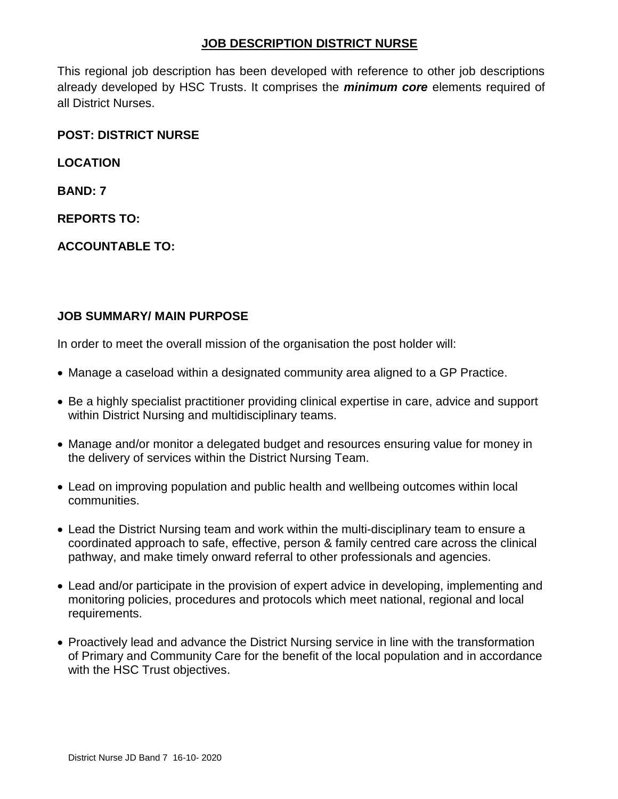#### **JOB DESCRIPTION DISTRICT NURSE**

This regional job description has been developed with reference to other job descriptions already developed by HSC Trusts. It comprises the *minimum core* elements required of all District Nurses.

#### **POST: DISTRICT NURSE**

**LOCATION**

**BAND: 7**

**REPORTS TO:**

**ACCOUNTABLE TO:**

#### **JOB SUMMARY/ MAIN PURPOSE**

In order to meet the overall mission of the organisation the post holder will:

- Manage a caseload within a designated community area aligned to a GP Practice.
- Be a highly specialist practitioner providing clinical expertise in care, advice and support within District Nursing and multidisciplinary teams.
- Manage and/or monitor a delegated budget and resources ensuring value for money in the delivery of services within the District Nursing Team.
- Lead on improving population and public health and wellbeing outcomes within local communities.
- Lead the District Nursing team and work within the multi-disciplinary team to ensure a coordinated approach to safe, effective, person & family centred care across the clinical pathway, and make timely onward referral to other professionals and agencies.
- Lead and/or participate in the provision of expert advice in developing, implementing and monitoring policies, procedures and protocols which meet national, regional and local requirements.
- Proactively lead and advance the District Nursing service in line with the transformation of Primary and Community Care for the benefit of the local population and in accordance with the HSC Trust objectives.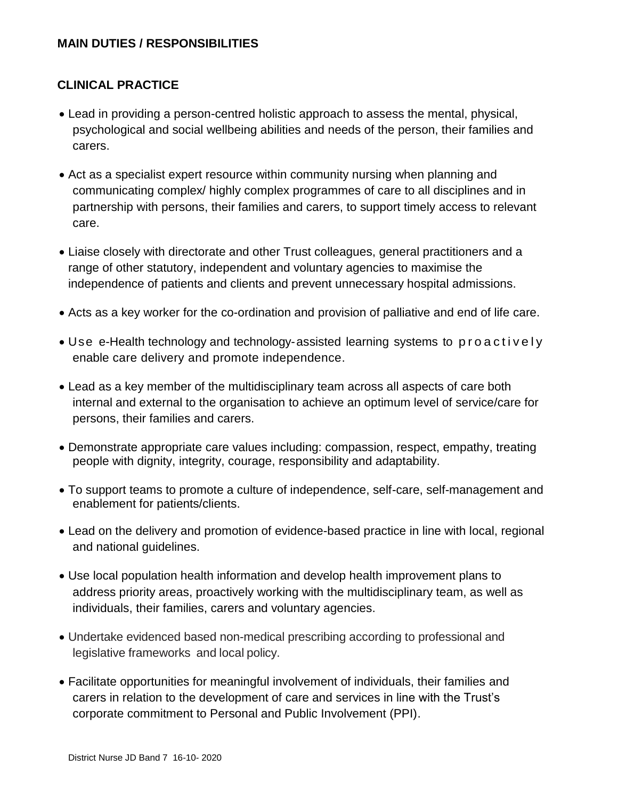## **CLINICAL PRACTICE**

- Lead in providing a person-centred holistic approach to assess the mental, physical, psychological and social wellbeing abilities and needs of the person, their families and carers.
- Act as a specialist expert resource within community nursing when planning and communicating complex/ highly complex programmes of care to all disciplines and in partnership with persons, their families and carers, to support timely access to relevant care.
- Liaise closely with directorate and other Trust colleagues, general practitioners and a range of other statutory, independent and voluntary agencies to maximise the independence of patients and clients and prevent unnecessary hospital admissions.
- Acts as a key worker for the co-ordination and provision of palliative and end of life care.
- Use e-Health technology and technology-assisted learning systems to proactively enable care delivery and promote independence.
- Lead as a key member of the multidisciplinary team across all aspects of care both internal and external to the organisation to achieve an optimum level of service/care for persons, their families and carers.
- Demonstrate appropriate care values including: compassion, respect, empathy, treating people with dignity, integrity, courage, responsibility and adaptability.
- To support teams to promote a culture of independence, self-care, self-management and enablement for patients/clients.
- Lead on the delivery and promotion of evidence-based practice in line with local, regional and national guidelines.
- Use local population health information and develop health improvement plans to address priority areas, proactively working with the multidisciplinary team, as well as individuals, their families, carers and voluntary agencies.
- Undertake evidenced based non-medical prescribing according to professional and legislative frameworks and local policy.
- Facilitate opportunities for meaningful involvement of individuals, their families and carers in relation to the development of care and services in line with the Trust's corporate commitment to Personal and Public Involvement (PPI).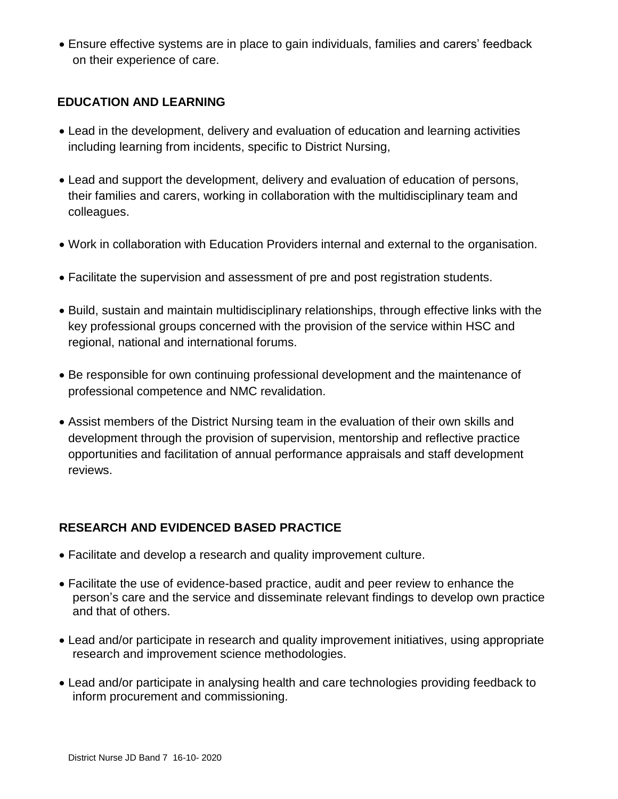Ensure effective systems are in place to gain individuals, families and carers' feedback on their experience of care.

#### **EDUCATION AND LEARNING**

- Lead in the development, delivery and evaluation of education and learning activities including learning from incidents, specific to District Nursing,
- Lead and support the development, delivery and evaluation of education of persons, their families and carers, working in collaboration with the multidisciplinary team and colleagues.
- Work in collaboration with Education Providers internal and external to the organisation.
- Facilitate the supervision and assessment of pre and post registration students.
- Build, sustain and maintain multidisciplinary relationships, through effective links with the key professional groups concerned with the provision of the service within HSC and regional, national and international forums.
- Be responsible for own continuing professional development and the maintenance of professional competence and NMC revalidation.
- Assist members of the District Nursing team in the evaluation of their own skills and development through the provision of supervision, mentorship and reflective practice opportunities and facilitation of annual performance appraisals and staff development reviews.

### **RESEARCH AND EVIDENCED BASED PRACTICE**

- Facilitate and develop a research and quality improvement culture.
- Facilitate the use of evidence-based practice, audit and peer review to enhance the person's care and the service and disseminate relevant findings to develop own practice and that of others.
- Lead and/or participate in research and quality improvement initiatives, using appropriate research and improvement science methodologies.
- Lead and/or participate in analysing health and care technologies providing feedback to inform procurement and commissioning.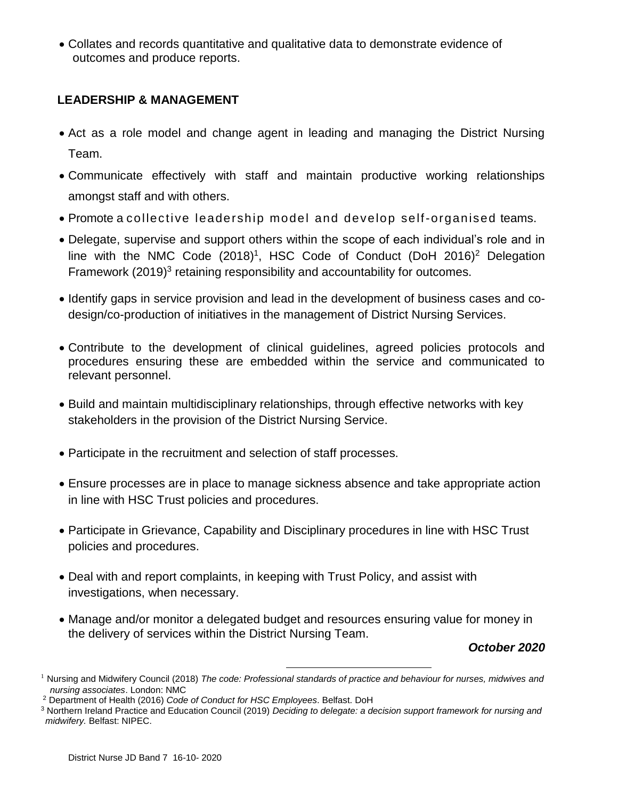Collates and records quantitative and qualitative data to demonstrate evidence of outcomes and produce reports.

### **LEADERSHIP & MANAGEMENT**

- Act as a role model and change agent in leading and managing the District Nursing Team.
- Communicate effectively with staff and maintain productive working relationships amongst staff and with others.
- Promote a collective leadership model and develop self-organised teams.
- Delegate, supervise and support others within the scope of each individual's role and in line with the NMC Code  $(2018)^1$ , HSC Code of Conduct  $(DoH 2016)^2$  Delegation Framework (2019)<sup>3</sup> retaining responsibility and accountability for outcomes.
- Identify gaps in service provision and lead in the development of business cases and codesign/co-production of initiatives in the management of District Nursing Services.
- Contribute to the development of clinical guidelines, agreed policies protocols and procedures ensuring these are embedded within the service and communicated to relevant personnel.
- Build and maintain multidisciplinary relationships, through effective networks with key stakeholders in the provision of the District Nursing Service.
- Participate in the recruitment and selection of staff processes.
- Ensure processes are in place to manage sickness absence and take appropriate action in line with HSC Trust policies and procedures.
- Participate in Grievance, Capability and Disciplinary procedures in line with HSC Trust policies and procedures.
- Deal with and report complaints, in keeping with Trust Policy, and assist with investigations, when necessary.
- Manage and/or monitor a delegated budget and resources ensuring value for money in the delivery of services within the District Nursing Team.

#### *October 2020*

 $\overline{a}$ 

<sup>1</sup> Nursing and Midwifery Council (2018) *The code: Professional standards of practice and behaviour for nurses, midwives and nursing associates*. London: NMC

<sup>2</sup> Department of Health (2016) *Code of Conduct for HSC Employees*. Belfast. DoH

<sup>3</sup> Northern Ireland Practice and Education Council (2019) *Deciding to delegate: a decision support framework for nursing and midwifery.* Belfast: NIPEC.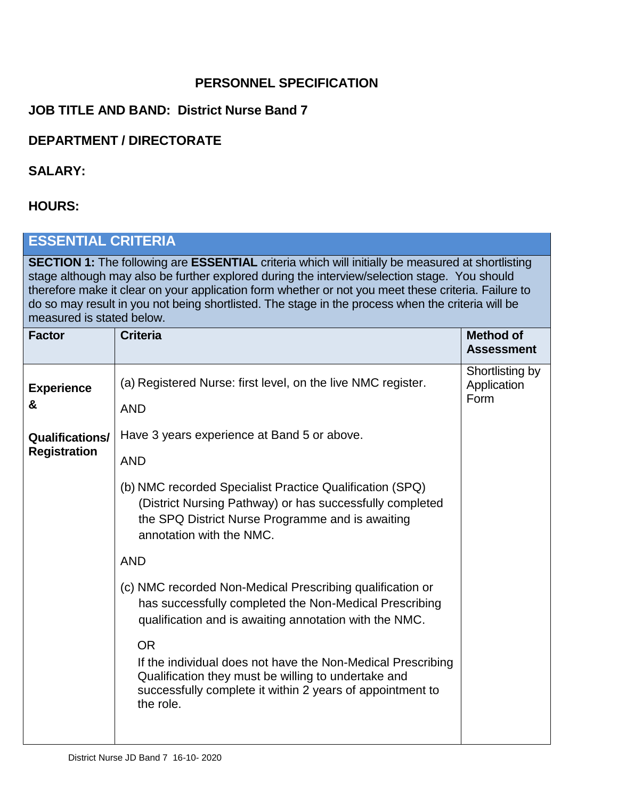# **PERSONNEL SPECIFICATION**

# **JOB TITLE AND BAND: District Nurse Band 7**

## **DEPARTMENT / DIRECTORATE**

### **SALARY:**

### **HOURS:**

# **ESSENTIAL CRITERIA**

**SECTION 1:** The following are **ESSENTIAL** criteria which will initially be measured at shortlisting stage although may also be further explored during the interview/selection stage. You should therefore make it clear on your application form whether or not you meet these criteria. Failure to do so may result in you not being shortlisted. The stage in the process when the criteria will be measured is stated below.

| <b>Factor</b>                                 | <b>Criteria</b>                                                                                                                                                                                                                                                                                                                                                                                                                      | <b>Method of</b><br><b>Assessment</b>  |
|-----------------------------------------------|--------------------------------------------------------------------------------------------------------------------------------------------------------------------------------------------------------------------------------------------------------------------------------------------------------------------------------------------------------------------------------------------------------------------------------------|----------------------------------------|
| <b>Experience</b><br>&                        | (a) Registered Nurse: first level, on the live NMC register.<br><b>AND</b>                                                                                                                                                                                                                                                                                                                                                           | Shortlisting by<br>Application<br>Form |
| <b>Qualifications/</b><br><b>Registration</b> | Have 3 years experience at Band 5 or above.<br><b>AND</b><br>(b) NMC recorded Specialist Practice Qualification (SPQ)<br>(District Nursing Pathway) or has successfully completed<br>the SPQ District Nurse Programme and is awaiting                                                                                                                                                                                                |                                        |
|                                               | annotation with the NMC.<br><b>AND</b><br>(c) NMC recorded Non-Medical Prescribing qualification or<br>has successfully completed the Non-Medical Prescribing<br>qualification and is awaiting annotation with the NMC.<br><b>OR</b><br>If the individual does not have the Non-Medical Prescribing<br>Qualification they must be willing to undertake and<br>successfully complete it within 2 years of appointment to<br>the role. |                                        |
|                                               |                                                                                                                                                                                                                                                                                                                                                                                                                                      |                                        |